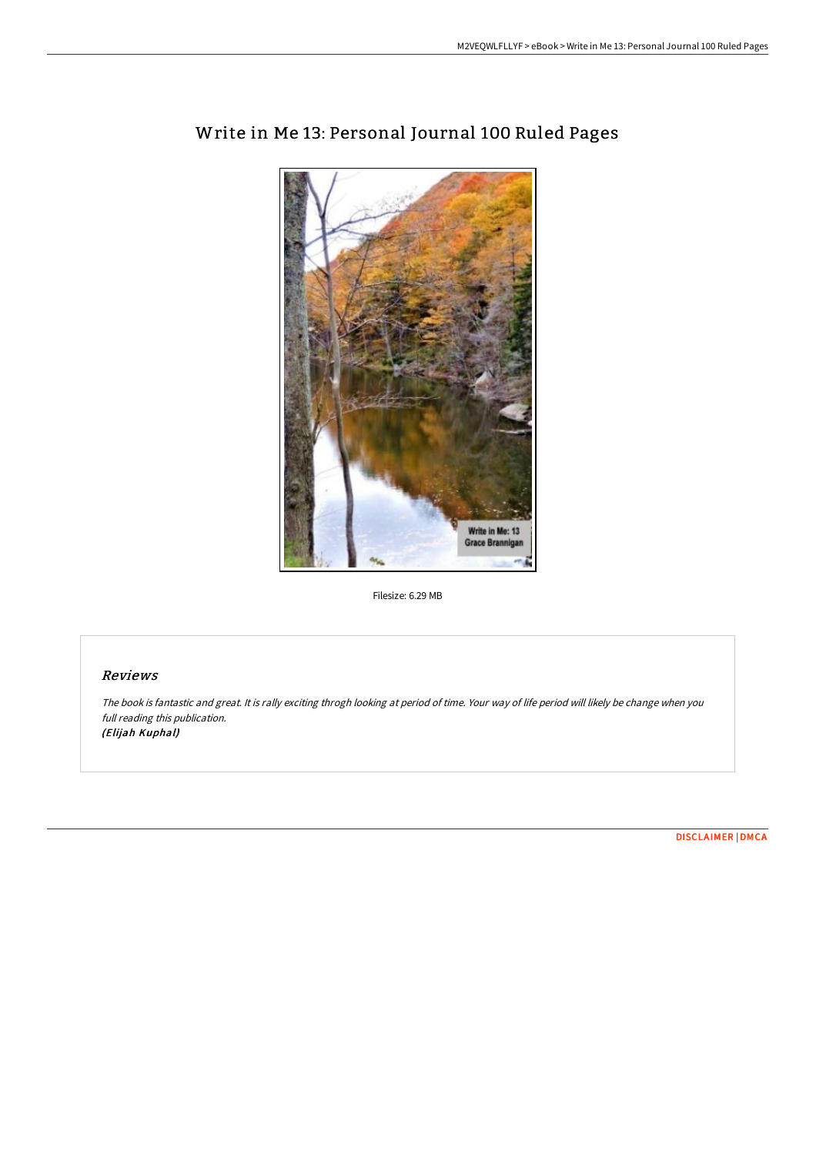

# Write in Me 13: Personal Journal 100 Ruled Pages

Filesize: 6.29 MB

# Reviews

The book is fantastic and great. It is rally exciting throgh looking at period of time. Your way of life period will likely be change when you full reading this publication. (Elijah Kuphal)

[DISCLAIMER](http://albedo.media/disclaimer.html) | [DMCA](http://albedo.media/dmca.html)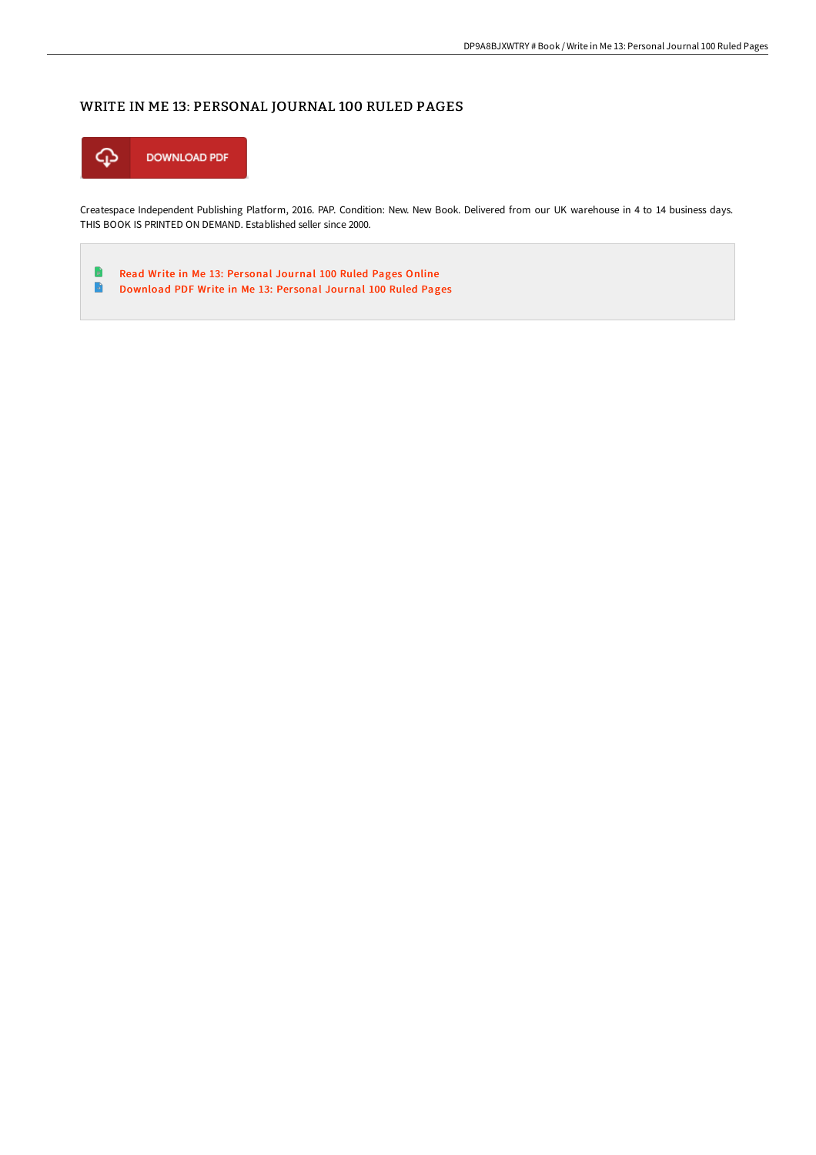# WRITE IN ME 13: PERSONAL JOURNAL 100 RULED PAGES



Createspace Independent Publishing Platform, 2016. PAP. Condition: New. New Book. Delivered from our UK warehouse in 4 to 14 business days. THIS BOOK IS PRINTED ON DEMAND. Established seller since 2000.

Read Write in Me 13: Per sonal [Journal](http://albedo.media/write-in-me-13-personal-journal-100-ruled-pages.html) 100 Ruled Pages Online B B [Download](http://albedo.media/write-in-me-13-personal-journal-100-ruled-pages.html) PDF Write in Me 13: Per sonal Journal 100 Ruled Pages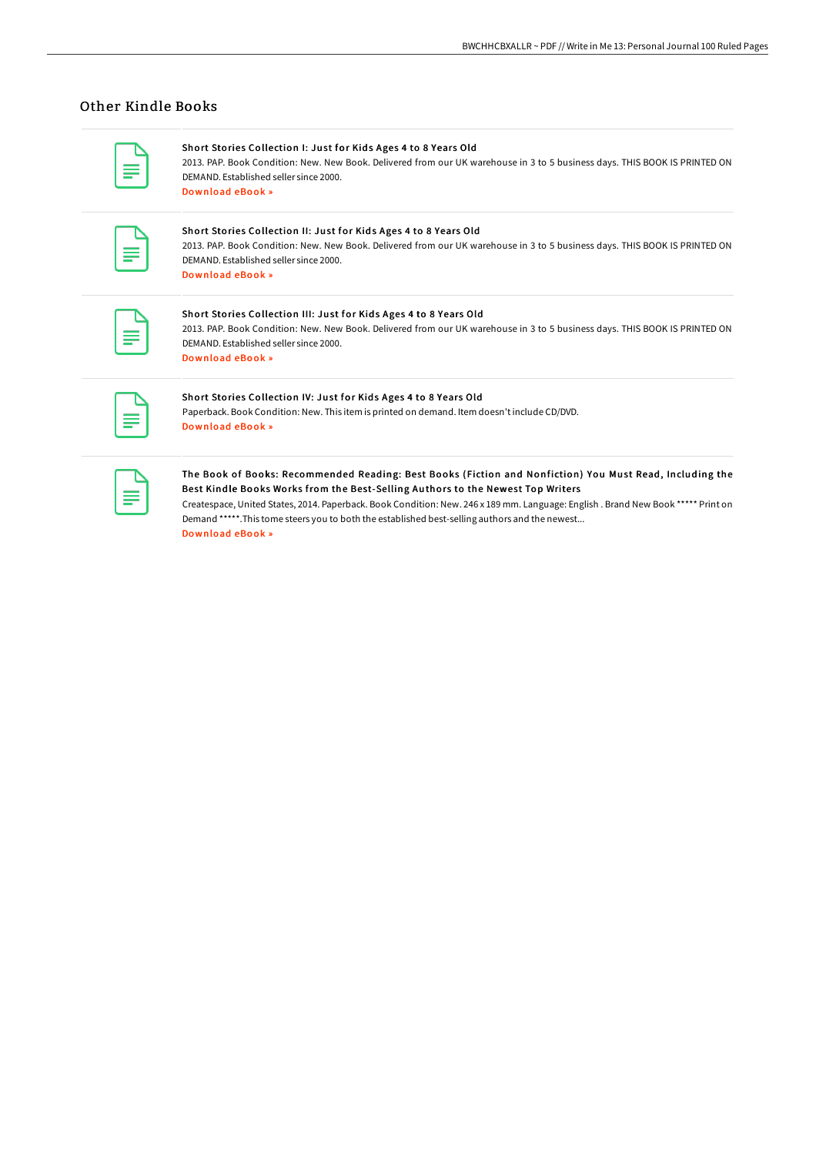# Other Kindle Books

#### Short Stories Collection I: Just for Kids Ages 4 to 8 Years Old

2013. PAP. Book Condition: New. New Book. Delivered from our UK warehouse in 3 to 5 business days. THIS BOOK IS PRINTED ON DEMAND. Established seller since 2000. [Download](http://albedo.media/short-stories-collection-i-just-for-kids-ages-4-.html) eBook »

## Short Stories Collection II: Just for Kids Ages 4 to 8 Years Old

2013. PAP. Book Condition: New. New Book. Delivered from our UK warehouse in 3 to 5 business days. THIS BOOK IS PRINTED ON DEMAND. Established seller since 2000. [Download](http://albedo.media/short-stories-collection-ii-just-for-kids-ages-4.html) eBook »

| _____<br>_ |
|------------|
|            |

### Short Stories Collection III: Just for Kids Ages 4 to 8 Years Old

2013. PAP. Book Condition: New. New Book. Delivered from our UK warehouse in 3 to 5 business days. THIS BOOK IS PRINTED ON DEMAND. Established seller since 2000. [Download](http://albedo.media/short-stories-collection-iii-just-for-kids-ages-.html) eBook »

## Short Stories Collection IV: Just for Kids Ages 4 to 8 Years Old

Paperback. Book Condition: New. This item is printed on demand. Item doesn't include CD/DVD. [Download](http://albedo.media/short-stories-collection-iv-just-for-kids-ages-4.html) eBook »

## The Book of Books: Recommended Reading: Best Books (Fiction and Nonfiction) You Must Read, Including the Best Kindle Books Works from the Best-Selling Authors to the Newest Top Writers

Createspace, United States, 2014. Paperback. Book Condition: New. 246 x 189 mm. Language: English . Brand New Book \*\*\*\*\* Print on Demand \*\*\*\*\*.This tome steers you to both the established best-selling authors and the newest... [Download](http://albedo.media/the-book-of-books-recommended-reading-best-books.html) eBook »